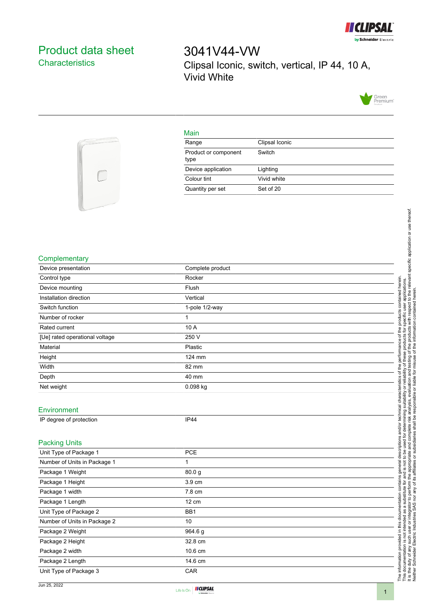

## <span id="page-0-0"></span>Product data sheet **Characteristics**

3041V44-VW Clipsal Iconic, switch, vertical, IP 44, 10 A, Vivid White





## Main

| Range                        | Clipsal Iconic |
|------------------------------|----------------|
| Product or component<br>type | Switch         |
| Device application           | Lighting       |
| Colour tint                  | Vivid white    |
| Quantity per set             | Set of 20      |

## **Complementary**

| Complementary                  |                  | specific application or use thereof.                                                                                                                          |
|--------------------------------|------------------|---------------------------------------------------------------------------------------------------------------------------------------------------------------|
| Device presentation            | Complete product |                                                                                                                                                               |
| Control type                   | Rocker           |                                                                                                                                                               |
| Device mounting                | Flush            | the relevant<br>herein.                                                                                                                                       |
| Installation direction         | Vertical         | contained<br>contained herei<br>apli<br>1:0th                                                                                                                 |
| Switch function                | 1-pole 1/2-way   | respect                                                                                                                                                       |
| Number of rocker               | 1                |                                                                                                                                                               |
| Rated current                  | 10 A             |                                                                                                                                                               |
| [Ue] rated operational voltage | 250 V            | informati<br>prod                                                                                                                                             |
| Material                       | Plastic          | of th                                                                                                                                                         |
| Height                         | 124 mm           | ৳                                                                                                                                                             |
| Width                          | 82 mm            | testing<br>ᅙ<br>۹d                                                                                                                                            |
| Depth                          | 40 mm            | and<br>liable for                                                                                                                                             |
| Net weight                     | 0.098 kg         | evaluation<br>teristi<br>৯<br>৯                                                                                                                               |
|                                |                  | ible<br>₫<br>ū                                                                                                                                                |
| Environment                    |                  | ৳<br>nical                                                                                                                                                    |
| IP degree of protection        | IP44             | tech<br>ed.                                                                                                                                                   |
|                                |                  | termin<br>shall<br>and/or                                                                                                                                     |
|                                |                  | complete risk                                                                                                                                                 |
| <b>Packing Units</b>           |                  | subsid                                                                                                                                                        |
| Unit Type of Package 1         | PCE              | Φ<br>ā<br>o                                                                                                                                                   |
| Number of Units in Package 1   | 1                | ropria<br>ত্ত                                                                                                                                                 |
| Package 1 Weight               | 80.0g            | affi.                                                                                                                                                         |
| Package 1 Height               | 3.9 cm           | 'ಹ<br>ď                                                                                                                                                       |
| Package 1 width                | 7.8 cm           | perform<br>ω                                                                                                                                                  |
| Package 1 Length               | 12 cm            | SAS <sub>no</sub><br>$\mathsf{S}$<br>ল                                                                                                                        |
| Unit Type of Package 2         | BB1              |                                                                                                                                                               |
| Number of Units in Package 2   | 10               | this docur                                                                                                                                                    |
| Package 2 Weight               | 964.6 g          |                                                                                                                                                               |
| Package 2 Height               | 32.8 cm          |                                                                                                                                                               |
| Package 2 width                | 10.6 cm          |                                                                                                                                                               |
| Package 2 Length               | 14.6 cm          | The information provided in this documentation is not intended a<br>In this documentation is not intended a<br>It is the duty of any such user or integration |
| Unit Type of Package 3         | CAR              |                                                                                                                                                               |
|                                |                  |                                                                                                                                                               |

Jun 25, 2022